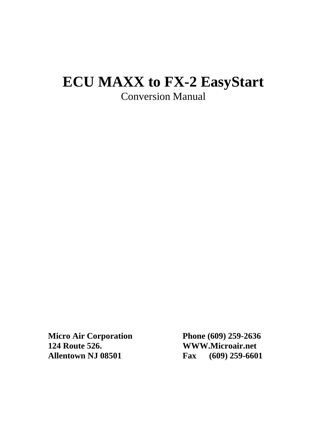# **ECU MAXX to FX-2 EasyStart** Conversion Manual

**Micro Air Corporation Phone (609) 259-2636 124 Route 526. WWW.Microair.net Allentown NJ 08501 Fax (609) 259-6601**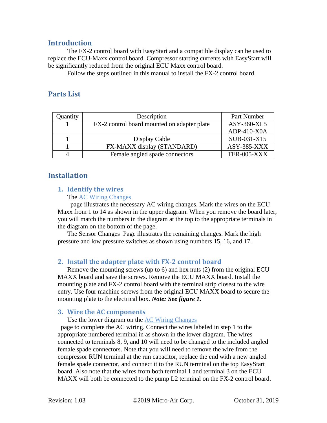# **Introduction**

The FX-2 control board with EasyStart and a compatible display can be used to replace the ECU-Maxx control board. Compressor starting currents with EasyStart will be significantly reduced from the original ECU Maxx control board.

Follow the steps outlined in this manual to install the FX-2 control board.

# **Parts List**

| <b>Quantity</b> | Description                                 | Part Number        |
|-----------------|---------------------------------------------|--------------------|
|                 | FX-2 control board mounted on adapter plate | ASY-360-XL5        |
|                 |                                             | ADP-410-X0A        |
|                 | Display Cable                               | SUB-031-X15        |
|                 | FX-MAXX display (STANDARD)                  | ASY-385-XXX        |
|                 | Female angled spade connectors              | <b>TER-005-XXX</b> |

# **Installation**

# **1. Identify the wires**

#### The [AC Wiring Changes](#page-3-0)

page illustrates the necessary AC wiring changes. Mark the wires on the ECU Maxx from 1 to 14 as shown in the upper diagram. When you remove the board later, you will match the numbers in the diagram at the top to the appropriate terminals in the diagram on the bottom of the page.

The [Sensor Changes](#page-4-0) Page illustrates the remaining changes. Mark the high pressure and low pressure switches as shown using numbers 15, 16, and 17.

# **2. Install the adapter plate with FX-2 control board**

Remove the mounting screws (up to 6) and hex nuts (2) from the original ECU MAXX board and save the screws. Remove the ECU MAXX board. Install the mounting plate and FX-2 control board with the terminal strip closest to the wire entry. Use four machine screws from the original ECU MAXX board to secure the mounting plate to the electrical box. *Note: See figure 1.*

#### **3. Wire the AC components**

Use the lower diagram on the **AC Wiring Changes** 

page to complete the AC wiring. Connect the wires labeled in step 1 to the appropriate numbered terminal in as shown in the lower diagram. The wires connected to terminals 8, 9, and 10 will need to be changed to the included angled female spade connectors. Note that you will need to remove the wire from the compressor RUN terminal at the run capacitor, replace the end with a new angled female spade connector, and connect it to the RUN terminal on the top EasyStart board. Also note that the wires from both terminal 1 and terminal 3 on the ECU MAXX will both be connected to the pump L2 terminal on the FX-2 control board.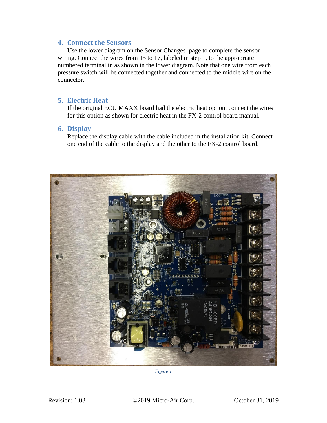#### **4. Connect the Sensors**

Use the lower diagram on the [Sensor Changes](#page-4-0) page to complete the sensor wiring. Connect the wires from 15 to 17, labeled in step 1, to the appropriate numbered terminal in as shown in the lower diagram. Note that one wire from each pressure switch will be connected together and connected to the middle wire on the connector.

#### **5. Electric Heat**

If the original ECU MAXX board had the electric heat option, connect the wires for this option as shown for electric heat in the FX-2 control board manual.

#### **6. Display**

Replace the display cable with the cable included in the installation kit. Connect one end of the cable to the display and the other to the FX-2 control board.



*Figure 1*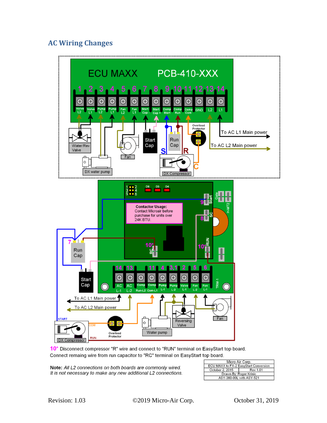# <span id="page-3-0"></span>**AC Wiring Changes**



10\* Disconnect compressor "R" wire and connect to "RUN" terminal on EasyStart top board. Connect remaing wire from run capacitor to "RC" terminal on EasyStart top board.

Note: All L2 connections on both boards are commonly wired. It is not necessary to make any new additional L2 connections.

| Micro Air Corp.                       |                 |  |
|---------------------------------------|-----------------|--|
| ECU MAXX to FX-2 EasyStart Conversion |                 |  |
| October 2, 2015                       | <b>Rev 1.01</b> |  |
| Drawn By: Roger Krinic                |                 |  |
| ASY-360-00L with ASY-521              |                 |  |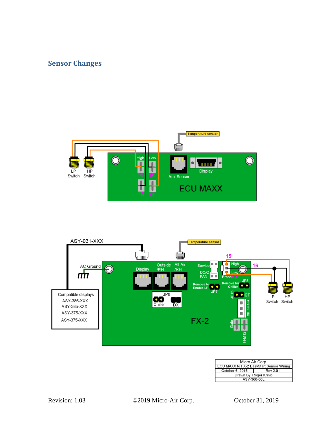# <span id="page-4-0"></span>**Sensor Changes**





| Micro Air Corp.                          |                 |  |  |
|------------------------------------------|-----------------|--|--|
| ECU MAXX to FX-2 EasyStart Sensor Wiring |                 |  |  |
| October 6, 2015                          | <b>Rev 2.01</b> |  |  |
| Drawn By: Roger Krinic                   |                 |  |  |
| ASY-360-00L                              |                 |  |  |